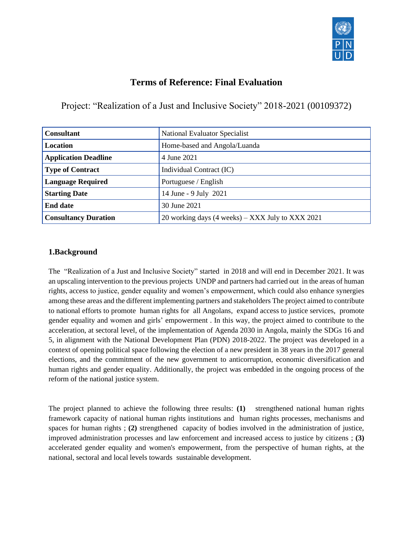

# **Terms of Reference: Final Evaluation**

Project: "Realization of a Just and Inclusive Society" 2018-2021 (00109372)

| <b>Consultant</b>           | <b>National Evaluator Specialist</b>             |
|-----------------------------|--------------------------------------------------|
| Location                    | Home-based and Angola/Luanda                     |
| <b>Application Deadline</b> | 4 June 2021                                      |
| <b>Type of Contract</b>     | Individual Contract (IC)                         |
| <b>Language Required</b>    | Portuguese / English                             |
| <b>Starting Date</b>        | 14 June - 9 July 2021                            |
| <b>End date</b>             | 30 June 2021                                     |
| <b>Consultancy Duration</b> | 20 working days (4 weeks) – XXX July to XXX 2021 |

# **1.Background**

The "Realization of a Just and Inclusive Society" started in 2018 and will end in December 2021. It was an upscaling intervention to the previous projects UNDP and partners had carried out in the areas of human rights, access to justice, gender equality and women's empowerment, which could also enhance synergies among these areas and the different implementing partners and stakeholders The project aimed to contribute to national efforts to promote human rights for all Angolans, expand access to justice services, promote gender equality and women and girls' empowerment . In this way, the project aimed to contribute to the acceleration, at sectoral level, of the implementation of Agenda 2030 in Angola, mainly the SDGs 16 and 5, in alignment with the National Development Plan (PDN) 2018-2022. The project was developed in a context of opening political space following the election of a new president in 38 years in the 2017 general elections, and the commitment of the new government to anticorruption, economic diversification and human rights and gender equality. Additionally, the project was embedded in the ongoing process of the reform of the national justice system.

The project planned to achieve the following three results: **(1)** strengthened national human rights framework capacity of national human rights institutions and human rights processes, mechanisms and spaces for human rights ; **(2)** strengthened capacity of bodies involved in the administration of justice, improved administration processes and law enforcement and increased access to justice by citizens ; **(3)** accelerated gender equality and women's empowerment, from the perspective of human rights, at the national, sectoral and local levels towards sustainable development.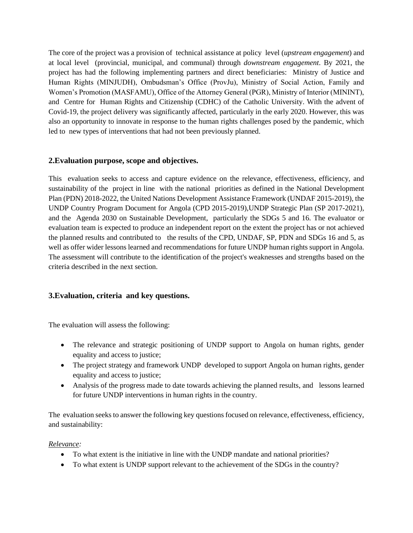The core of the project was a provision of technical assistance at policy level (*upstream engagement*) and at local level (provincial, municipal, and communal) through *downstream engagement*. By 2021, the project has had the following implementing partners and direct beneficiaries: Ministry of Justice and Human Rights (MINJUDH), Ombudsman's Office (ProvJu), Ministry of Social Action, Family and Women's Promotion (MASFAMU), Office of the Attorney General (PGR), Ministry of Interior (MININT), and Centre for Human Rights and Citizenship (CDHC) of the Catholic University. With the advent of Covid-19, the project delivery was significantly affected, particularly in the early 2020. However, this was also an opportunity to innovate in response to the human rights challenges posed by the pandemic, which led to new types of interventions that had not been previously planned.

## **2.Evaluation purpose, scope and objectives.**

This evaluation seeks to access and capture evidence on the relevance, effectiveness, efficiency, and sustainability of the project in line with the national priorities as defined in the National Development Plan (PDN) 2018-2022, the United Nations Development Assistance Framework (UNDAF 2015-2019), the UNDP Country Program Document for Angola (CPD 2015-2019),UNDP Strategic Plan (SP 2017-2021), and the Agenda 2030 on Sustainable Development, particularly the SDGs 5 and 16. The evaluator or evaluation team is expected to produce an independent report on the extent the project has or not achieved the planned results and contributed to the results of the CPD, UNDAF, SP, PDN and SDGs 16 and 5, as well as offer wider lessons learned and recommendations for future UNDP human rights support in Angola. The assessment will contribute to the identification of the project's weaknesses and strengths based on the criteria described in the next section.

## **3.Evaluation, criteria and key questions.**

The evaluation will assess the following:

- The relevance and strategic positioning of UNDP support to Angola on human rights, gender equality and access to justice;
- The project strategy and framework UNDP developed to support Angola on human rights, gender equality and access to justice;
- Analysis of the progress made to date towards achieving the planned results, and lessons learned for future UNDP interventions in human rights in the country.

The evaluation seeks to answer the following key questions focused on relevance, effectiveness, efficiency, and sustainability:

#### *Relevance:*

- To what extent is the initiative in line with the UNDP mandate and national priorities?
- To what extent is UNDP support relevant to the achievement of the SDGs in the country?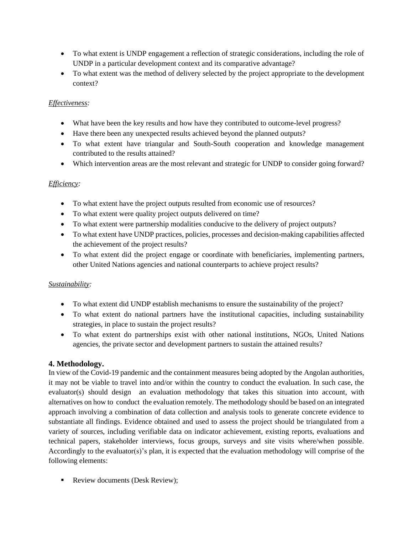- To what extent is UNDP engagement a reflection of strategic considerations, including the role of UNDP in a particular development context and its comparative advantage?
- To what extent was the method of delivery selected by the project appropriate to the development context?

# *Effectiveness:*

- What have been the key results and how have they contributed to outcome-level progress?
- Have there been any unexpected results achieved beyond the planned outputs?
- To what extent have triangular and South-South cooperation and knowledge management contributed to the results attained?
- Which intervention areas are the most relevant and strategic for UNDP to consider going forward?

# *Efficiency:*

- To what extent have the project outputs resulted from economic use of resources?
- To what extent were quality project outputs delivered on time?
- To what extent were partnership modalities conducive to the delivery of project outputs?
- To what extent have UNDP practices, policies, processes and decision-making capabilities affected the achievement of the project results?
- To what extent did the project engage or coordinate with beneficiaries, implementing partners, other United Nations agencies and national counterparts to achieve project results?

## *Sustainability:*

- To what extent did UNDP establish mechanisms to ensure the sustainability of the project?
- To what extent do national partners have the institutional capacities, including sustainability strategies, in place to sustain the project results?
- To what extent do partnerships exist with other national institutions, NGOs, United Nations agencies, the private sector and development partners to sustain the attained results?

## **4. Methodology.**

In view of the Covid-19 pandemic and the containment measures being adopted by the Angolan authorities, it may not be viable to travel into and/or within the country to conduct the evaluation. In such case, the evaluator(s) should design an evaluation methodology that takes this situation into account, with alternatives on how to conduct the evaluation remotely. The methodology should be based on an integrated approach involving a combination of data collection and analysis tools to generate concrete evidence to substantiate all findings. Evidence obtained and used to assess the project should be triangulated from a variety of sources, including verifiable data on indicator achievement, existing reports, evaluations and technical papers, stakeholder interviews, focus groups, surveys and site visits where/when possible. Accordingly to the evaluator(s)'s plan, it is expected that the evaluation methodology will comprise of the following elements:

■ Review documents (Desk Review);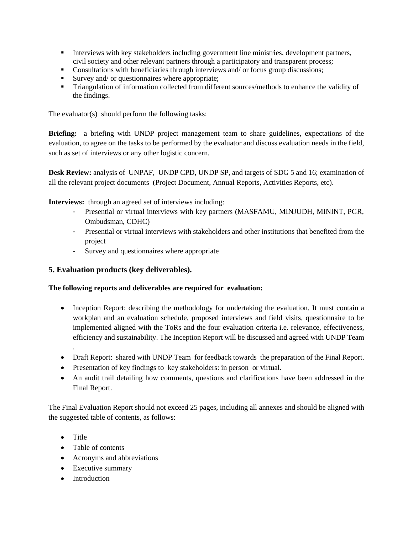- **•** Interviews with key stakeholders including government line ministries, development partners, civil society and other relevant partners through a participatory and transparent process;
- **•** Consultations with beneficiaries through interviews and/ or focus group discussions;
- Survey and/ or questionnaires where appropriate;
- Triangulation of information collected from different sources/methods to enhance the validity of the findings.

The evaluator(s) should perform the following tasks:

**Briefing:** a briefing with UNDP project management team to share guidelines, expectations of the evaluation, to agree on the tasks to be performed by the evaluator and discuss evaluation needs in the field, such as set of interviews or any other logistic concern.

**Desk Review:** analysis of UNPAF, UNDP CPD, UNDP SP, and targets of SDG 5 and 16; examination of all the relevant project documents (Project Document, Annual Reports, Activities Reports, etc).

**Interviews:** through an agreed set of interviews including:

- Presential or virtual interviews with key partners (MASFAMU, MINJUDH, MININT, PGR, Ombudsman, CDHC)
- Presential or virtual interviews with stakeholders and other institutions that benefited from the project
- Survey and questionnaires where appropriate

## **5. Evaluation products (key deliverables).**

## **The following reports and deliverables are required for evaluation:**

- Inception Report: describing the methodology for undertaking the evaluation. It must contain a workplan and an evaluation schedule, proposed interviews and field visits, questionnaire to be implemented aligned with the ToRs and the four evaluation criteria i.e. relevance, effectiveness, efficiency and sustainability. The Inception Report will be discussed and agreed with UNDP Team
- Draft Report: shared with UNDP Team for feedback towards the preparation of the Final Report.
- Presentation of key findings to key stakeholders: in person or virtual.
- An audit trail detailing how comments, questions and clarifications have been addressed in the Final Report.

The Final Evaluation Report should not exceed 25 pages, including all annexes and should be aligned with the suggested table of contents, as follows:

• Title

.

- Table of contents
- Acronyms and abbreviations
- Executive summary
- Introduction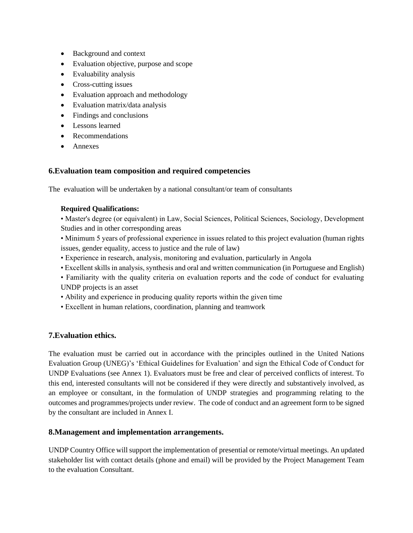- Background and context
- Evaluation objective, purpose and scope
- Evaluability analysis
- Cross-cutting issues
- Evaluation approach and methodology
- Evaluation matrix/data analysis
- Findings and conclusions
- Lessons learned
- Recommendations
- Annexes

## **6.Evaluation team composition and required competencies**

The evaluation will be undertaken by a national consultant/or team of consultants

## **Required Qualifications:**

• Master's degree (or equivalent) in Law, Social Sciences, Political Sciences, Sociology, Development Studies and in other corresponding areas

• Minimum 5 years of professional experience in issues related to this project evaluation (human rights issues, gender equality, access to justice and the rule of law)

- Experience in research, analysis, monitoring and evaluation, particularly in Angola
- Excellent skills in analysis, synthesis and oral and written communication (in Portuguese and English)
- Familiarity with the quality criteria on evaluation reports and the code of conduct for evaluating UNDP projects is an asset
- Ability and experience in producing quality reports within the given time
- Excellent in human relations, coordination, planning and teamwork

## **7.Evaluation ethics.**

The evaluation must be carried out in accordance with the principles outlined in the United Nations Evaluation Group (UNEG)'s 'Ethical Guidelines for Evaluation' and sign the Ethical Code of Conduct for UNDP Evaluations (see Annex 1). Evaluators must be free and clear of perceived conflicts of interest. To this end, interested consultants will not be considered if they were directly and substantively involved, as an employee or consultant, in the formulation of UNDP strategies and programming relating to the outcomes and programmes/projects under review. The code of conduct and an agreement form to be signed by the consultant are included in Annex I.

## **8.Management and implementation arrangements.**

UNDP Country Office will support the implementation of presential or remote/virtual meetings. An updated stakeholder list with contact details (phone and email) will be provided by the Project Management Team to the evaluation Consultant.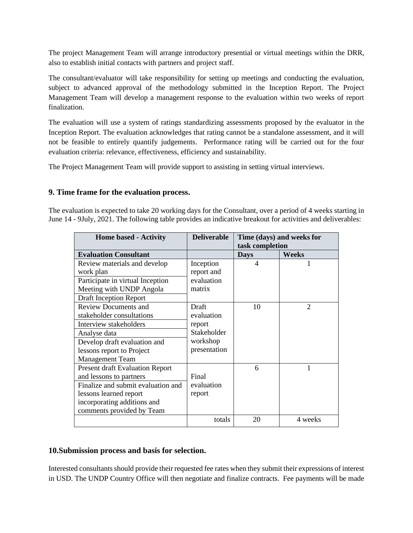The project Management Team will arrange introductory presential or virtual meetings within the DRR, also to establish initial contacts with partners and project staff.

The consultant/evaluator will take responsibility for setting up meetings and conducting the evaluation, subject to advanced approval of the methodology submitted in the Inception Report. The Project Management Team will develop a management response to the evaluation within two weeks of report finalization.

The evaluation will use a system of ratings standardizing assessments proposed by the evaluator in the Inception Report. The evaluation acknowledges that rating cannot be a standalone assessment, and it will not be feasible to entirely quantify judgements. Performance rating will be carried out for the four evaluation criteria: relevance, effectiveness, efficiency and sustainability.

The Project Management Team will provide support to assisting in setting virtual interviews.

#### **9. Time frame for the evaluation process.**

The evaluation is expected to take 20 working days for the Consultant, over a period of 4 weeks starting in June 14 - 9July, 2021. The following table provides an indicative breakout for activities and deliverables:

| <b>Home based - Activity</b>           | <b>Deliverable</b> | Time (days) and weeks for |                |
|----------------------------------------|--------------------|---------------------------|----------------|
|                                        |                    | task completion           |                |
| <b>Evaluation Consultant</b>           |                    | <b>Days</b>               | Weeks          |
| Review materials and develop           | Inception          | 4                         |                |
| work plan                              | report and         |                           |                |
| Participate in virtual Inception       | evaluation         |                           |                |
| Meeting with UNDP Angola               | matrix             |                           |                |
| Draft Inception Report                 |                    |                           |                |
| <b>Review Documents and</b>            | Draft              | 10                        | $\overline{2}$ |
| stakeholder consultations              | evaluation         |                           |                |
| Interview stakeholders                 | report             |                           |                |
| Analyse data                           | Stakeholder        |                           |                |
| Develop draft evaluation and           | workshop           |                           |                |
| lessons report to Project              | presentation       |                           |                |
| <b>Management Team</b>                 |                    |                           |                |
| <b>Present draft Evaluation Report</b> |                    | 6                         | 1              |
| and lessons to partners                | Final              |                           |                |
| Finalize and submit evaluation and     | evaluation         |                           |                |
| lessons learned report                 | report             |                           |                |
| incorporating additions and            |                    |                           |                |
| comments provided by Team              |                    |                           |                |
|                                        | totals             | 20                        | 4 weeks        |

#### **10.Submission process and basis for selection.**

Interested consultants should provide their requested fee rates when they submit their expressions of interest in USD. The UNDP Country Office will then negotiate and finalize contracts. Fee payments will be made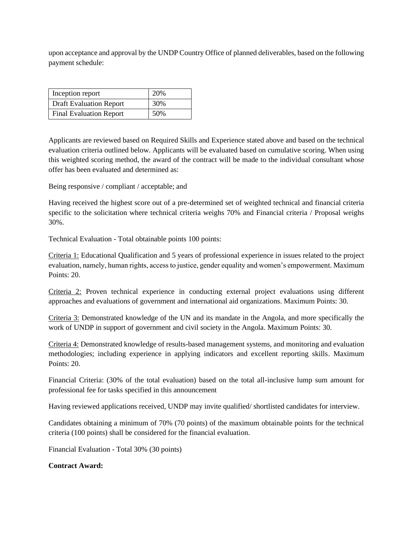upon acceptance and approval by the UNDP Country Office of planned deliverables, based on the following payment schedule:

| Inception report               | 20% |
|--------------------------------|-----|
| <b>Draft Evaluation Report</b> | 30% |
| <b>Final Evaluation Report</b> | 50% |

Applicants are reviewed based on Required Skills and Experience stated above and based on the technical evaluation criteria outlined below. Applicants will be evaluated based on cumulative scoring. When using this weighted scoring method, the award of the contract will be made to the individual consultant whose offer has been evaluated and determined as:

Being responsive / compliant / acceptable; and

Having received the highest score out of a pre-determined set of weighted technical and financial criteria specific to the solicitation where technical criteria weighs 70% and Financial criteria / Proposal weighs 30%.

Technical Evaluation - Total obtainable points 100 points:

Criteria 1: Educational Qualification and 5 years of professional experience in issues related to the project evaluation, namely, human rights, access to justice, gender equality and women's empowerment. Maximum Points: 20.

Criteria 2: Proven technical experience in conducting external project evaluations using different approaches and evaluations of government and international aid organizations. Maximum Points: 30.

Criteria 3: Demonstrated knowledge of the UN and its mandate in the Angola, and more specifically the work of UNDP in support of government and civil society in the Angola. Maximum Points: 30.

Criteria 4: Demonstrated knowledge of results-based management systems, and monitoring and evaluation methodologies; including experience in applying indicators and excellent reporting skills. Maximum Points: 20.

Financial Criteria: (30% of the total evaluation) based on the total all-inclusive lump sum amount for professional fee for tasks specified in this announcement

Having reviewed applications received, UNDP may invite qualified/ shortlisted candidates for interview.

Candidates obtaining a minimum of 70% (70 points) of the maximum obtainable points for the technical criteria (100 points) shall be considered for the financial evaluation.

Financial Evaluation - Total 30% (30 points)

#### **Contract Award:**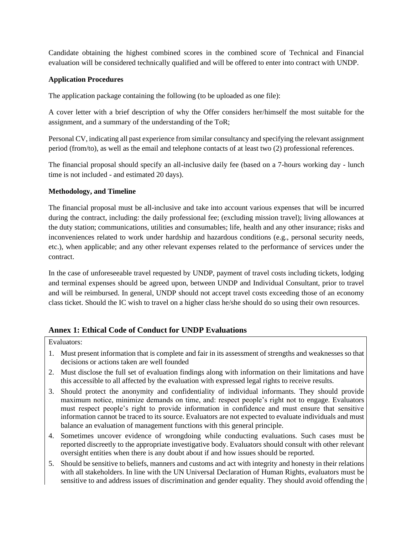Candidate obtaining the highest combined scores in the combined score of Technical and Financial evaluation will be considered technically qualified and will be offered to enter into contract with UNDP.

#### **Application Procedures**

The application package containing the following (to be uploaded as one file):

A cover letter with a brief description of why the Offer considers her/himself the most suitable for the assignment, and a summary of the understanding of the ToR;

Personal CV, indicating all past experience from similar consultancy and specifying the relevant assignment period (from/to), as well as the email and telephone contacts of at least two (2) professional references.

The financial proposal should specify an all-inclusive daily fee (based on a 7-hours working day - lunch time is not included - and estimated 20 days).

#### **Methodology, and Timeline**

The financial proposal must be all-inclusive and take into account various expenses that will be incurred during the contract, including: the daily professional fee; (excluding mission travel); living allowances at the duty station; communications, utilities and consumables; life, health and any other insurance; risks and inconveniences related to work under hardship and hazardous conditions (e.g., personal security needs, etc.), when applicable; and any other relevant expenses related to the performance of services under the contract.

In the case of unforeseeable travel requested by UNDP, payment of travel costs including tickets, lodging and terminal expenses should be agreed upon, between UNDP and Individual Consultant, prior to travel and will be reimbursed. In general, UNDP should not accept travel costs exceeding those of an economy class ticket. Should the IC wish to travel on a higher class he/she should do so using their own resources.

## **Annex 1: Ethical Code of Conduct for UNDP Evaluations**

Evaluators:

- 1. Must present information that is complete and fair in its assessment of strengths and weaknesses so that decisions or actions taken are well founded
- 2. Must disclose the full set of evaluation findings along with information on their limitations and have this accessible to all affected by the evaluation with expressed legal rights to receive results.
- 3. Should protect the anonymity and confidentiality of individual informants. They should provide maximum notice, minimize demands on time, and: respect people's right not to engage. Evaluators must respect people's right to provide information in confidence and must ensure that sensitive information cannot be traced to its source. Evaluators are not expected to evaluate individuals and must balance an evaluation of management functions with this general principle.
- 4. Sometimes uncover evidence of wrongdoing while conducting evaluations. Such cases must be reported discreetly to the appropriate investigative body. Evaluators should consult with other relevant oversight entities when there is any doubt about if and how issues should be reported.
- 5. Should be sensitive to beliefs, manners and customs and act with integrity and honesty in their relations with all stakeholders. In line with the UN Universal Declaration of Human Rights, evaluators must be sensitive to and address issues of discrimination and gender equality. They should avoid offending the